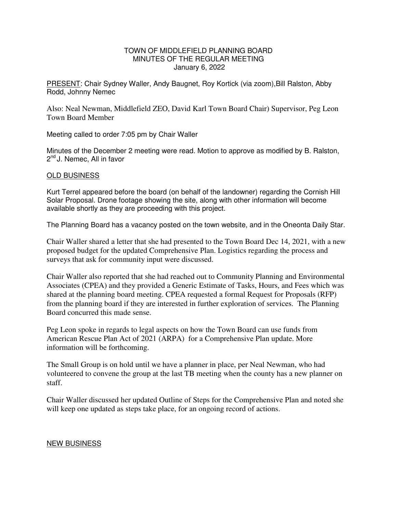## TOWN OF MIDDLEFIELD PLANNING BOARD MINUTES OF THE REGULAR MEETING January 6, 2022

PRESENT: Chair Sydney Waller, Andy Baugnet, Roy Kortick (via zoom),Bill Ralston, Abby Rodd, Johnny Nemec

Also: Neal Newman, Middlefield ZEO, David Karl Town Board Chair) Supervisor, Peg Leon Town Board Member

Meeting called to order 7:05 pm by Chair Waller

Minutes of the December 2 meeting were read. Motion to approve as modified by B. Ralston, 2<sup>nd</sup> J. Nemec, All in favor

## OLD BUSINESS

Kurt Terrel appeared before the board (on behalf of the landowner) regarding the Cornish Hill Solar Proposal. Drone footage showing the site, along with other information will become available shortly as they are proceeding with this project.

The Planning Board has a vacancy posted on the town website, and in the Oneonta Daily Star.

Chair Waller shared a letter that she had presented to the Town Board Dec 14, 2021, with a new proposed budget for the updated Comprehensive Plan. Logistics regarding the process and surveys that ask for community input were discussed.

Chair Waller also reported that she had reached out to Community Planning and Environmental Associates (CPEA) and they provided a Generic Estimate of Tasks, Hours, and Fees which was shared at the planning board meeting. CPEA requested a formal Request for Proposals (RFP) from the planning board if they are interested in further exploration of services. The Planning Board concurred this made sense.

Peg Leon spoke in regards to legal aspects on how the Town Board can use funds from American Rescue Plan Act of 2021 (ARPA) for a Comprehensive Plan update. More information will be forthcoming.

The Small Group is on hold until we have a planner in place, per Neal Newman, who had volunteered to convene the group at the last TB meeting when the county has a new planner on staff.

Chair Waller discussed her updated Outline of Steps for the Comprehensive Plan and noted she will keep one updated as steps take place, for an ongoing record of actions.

## NEW BUSINESS